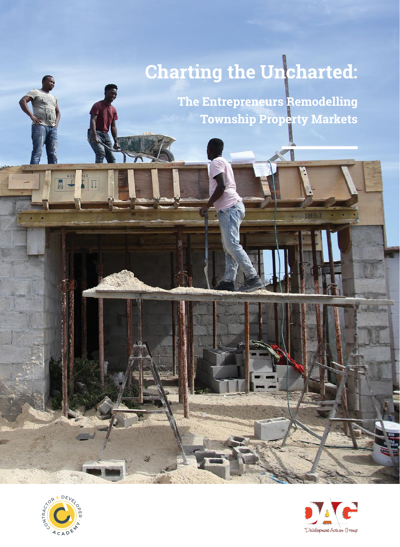# **Charting the Uncharted:**

**The Entrepreneurs Remodelling Township Property Markets**



 $\begin{array}{c} \hline \text{ } & \text{ } \\ \hline \text{ } & \text{ } \\ \hline \text{ } & \text{ } \end{array}$ 

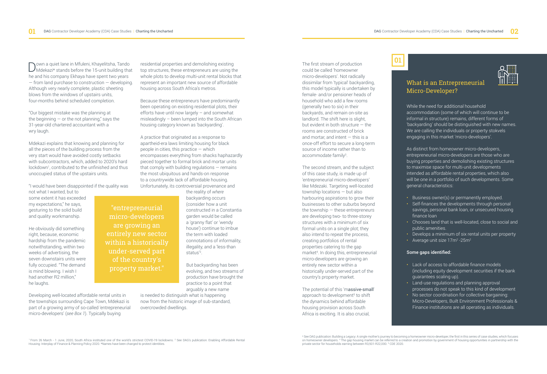Down a quiet lane in Mfuleni, Khayelitsha, Tando<br>Mdekazi\* stands before the 15-unit building that he and his company Ekhaya have spent two years — from land purchase to construction — developing. Although very nearly complete, plastic sheeting blows from the windows of upstairs units, four-months behind scheduled completion.

"Our biggest mistake was the planning at the beginning  $-$  or the not planning," says the 31-year-old chartered accountant with a wry laugh.

Mdekazi explains that knowing and planning for all the pieces of the building process from the very start would have avoided costly setbacks with subcontractors, which, added to 2020's hard lockdown<sup>1</sup>, contributed to the unfinished and thus unoccupied status of the upstairs units.

"I would have been disappointed if the quality was

not what I wanted, but to some extent it has exceeded my expectations," he says, gesturing to the solid build and quality workmanship.

He obviously did something right, because, economic hardship from the pandemic notwithstanding, within two weeks of advertising, the seven downstairs units were fully occupied. "The demand is mind blowing. I wish I had another R2 million," he laughs.

Developing well-located affordable rental units in the townships surrounding Cape Town, Mdekazi is part of a growing army of so-called 'entrepreneurial micro-developers' (*see Box 1*). Typically buying

residential properties and demolishing existing top structures, these entrepreneurs are using the whole plots to develop multi-unit rental blocks that represent an important new source of affordable housing across South Africa's metros.

Because these entrepreneurs have predominantly been operating on existing residential plots, their efforts have until now largely – and somewhat misleadingly – been lumped into the South African housing category known as 'backyarding'.

A practice that originated as a response to apartheid-era laws limiting housing for black people in cities, this practice — which encompasses everything from shacks haphazardly pieced together to formal brick and mortar units that comply with building regulations — remains the most ubiquitous and hands-on response to a countrywide lack of affordable housing. Unfortunately, its controversial provenance and

> the reality of *where* backyarding occurs (consider how a unit constructed in a Constantia garden would be called a 'granny flat' or 'wendy house') continue to imbue the term with loaded connotations of informality, illegality, and a 'less-than status'2 .

But backyarding has been evolving, and two streams of production have brought the practice to a point that arguably a new name

is needed to distinguish what is happening now from the historic image of sub-standard, overcrowded dwellings.

The first stream of production could be called 'homeowner micro-developers'. Not radically dissimilar from 'typical' backyarding, this model typically is undertaken by female- and/or pensioner heads of household who add a few rooms (generally two to six) in their backyards, and remain on-site as landlord. The shift here is slight, but evident in both structure — the rooms are constructed of brick and mortar, and intent  $-$  this is a once-off effort to secure a long-term source of income rather than to accommodate family<sup>3</sup>.

The second stream, and the subject of this case study, is made up of 'entrepreneurial micro-developers' like Mdezaki. Targeting well-located township locations — but also harbouring aspirations to grow their businesses to other suburbs beyond the township — these entrepreneurs are developing two- to three-storey structures with a minimum of six formal units on a single plot; they also intend to repeat the process, creating portfolios of rental properties catering to the gap market4 . In doing this, entrepreneurial micro-developers are growing an entirely new sector within a historically under-served part of the country's property market.

The potential of this 'm[assive-small](http://www.massivesmall.org/what-is-massive-small/)' approach to development<sup>5</sup> to shift the dynamics behind affordable housing provision across South Africa is exciting. It is also crucial,



### What is an Entrepreneurial Micro-Developer?

While the need for additional household accommodation (some of which will continue to be informal in structure) remains, different forms of 'backyarding' should be distinguished with new names. We are calling the individuals or property stokvels engaging in this market 'micro-developers'.

As distinct from homeowner micro-developers, entrepreneurial micro-developers are those who are buying properties and demolishing existing structures to maximise space for multi-unit developments intended as affordable rental properties, which also will be one in a portfolio of such developments. Some general characteristics:

- Business owner(s) or permanently employed.
- Self-finances the developments through personal savings, personal bank loan, or unsecured housing finance loan
- Chooses land that is well-located, close to social and public amenities.
- Develops a minimum of six rental units per property
- Average unit size  $17m^2$ -25m<sup>2</sup>

#### Some gaps identified:

- Lack of access to affordable finance models (including equity development securities if the bank guarantees scaling up).
- Land-use regulations and planning approval processes do not speak to this kind of development
- No sector coordination for collective bargaining: Micro-Developers, Built Environment Professionals & Finance institutions are all operating as individuals.

<sup>1</sup> From 26 March - 1 June, 2020, South Africa instituted one of the world's strictest COVID-19 lockdowns. <sup>2</sup> See DAG's publication: [Enabling Affordable Rental](https://www.dag.org.za/wp-content/uploads/2021/02/dag-financial-publication-lr.pdf) [Housing: Interplay of Finance & Planning Policy 2020](https://www.dag.org.za/wp-content/uploads/2021/02/dag-financial-publication-lr.pdf). \*Names have been changed to protect identities.

"entrepreneurial micro-developers

entirely new sector within a historically under-served part of the country's property market."

3 See DAG publication: Building a Legacy: A single mother's journey to becoming a homeowner micro-developer, the first in this series of case studies, which focuses<br>on homeowner developers. 4 The gap housing market can be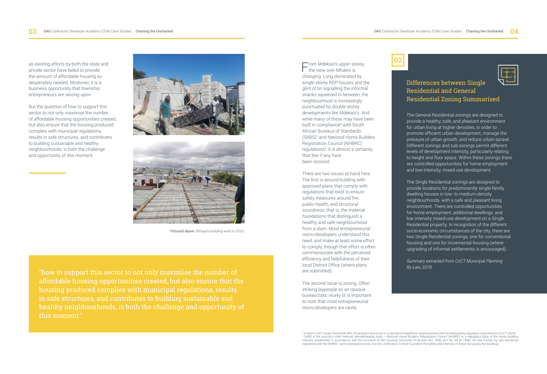as existing efforts by both the state and private sector have failed to provide the amount of affordable housing so desperately needed. Moreover, it is a business opportunity that township entrepreneurs are seizing upon.

But the question of how to support this sector to not only maximise the number of affordable housing opportunities created, but also ensure that the housing produced complies with municipal regulations, results in safe structures, and contributes to building sustainable and healthy neighbourhoods, is both the challenge and opportunity of this moment.





Pictured above: Ekhaya's building work in 2020.

"how to support this sector to not only maximise the number of affordable housing opportunities created, but also ensure that the housing produced complies with municipal regulations, results in safe structures, and contributes to building sustainable and healthy neighbourhoods, is both the challenge and opportunity of this moment."

From Mdekazi's upper storey,<br>the view over Mfuleni is changing. Long dominated by single-storey RDP houses and the glint of tin signalling the informal shacks squeezed in between, the neighbourhood is increasingly punctuated by double-storey developments like Mdekazi's. And while many of these may have been built in compliance<sup>6</sup> with South African Bureaus of Standards (SABS)7 and National Home Builders Registration Council (NHBRC) regulations<sup>8</sup>, it is almost a certainty that few if any have been rezoned.

There are two issues at hand here. The first is around building with approved plans that comply with regulations that exist to ensure safety measures around fire, public-health, and structural soundness; that is, the material foundations that distinguish a healthy and safe neighbourhood from a slum. Most entrepreneurial micro-developers understand this need, and make at least some effort to comply, though that effort is often commensurate with the perceived efficiency and helpfulness of their local District Office (where plans are submitted).

The second issue is zoning. Often striking laypeople as an opaque bureaucratic nicety (it is important to note that most entrepreneurial micro-developers are rarely



#### Differences between Single Residential and General Residential Zoning Summarised

The General Residential zonings are designed to provide a healthy, safe, and pleasant environment for urban living at higher densities, in order to promote efficient urban development, manage the pressure of urban growth, and reduce urban sprawl. Different zonings and sub-zonings permit different levels of development intensity, particularly relating to height and floor space. Within these zonings there are controlled opportunities for home employment and low-intensity, mixed-use development.

The Single Residential zonings are designed to provide locations for predominantly single-family dwelling houses in low- to medium-density neighbourhoods, with a safe and pleasant living environment. There are controlled opportunities for home employment, additional dwellings, and low intensity mixed-use development on a Single Residential property. In recognition of the different socio-economic circumstances of the city, there are two Single Residential zonings, one for conventional housing and one for incremental housing (where upgrading of informal settlements is encouraged).

*Summary extracted from CoCT Municipal Planning By-Law, 2019*

<sup>6</sup> A recent CoCT study found that 40% of backyard structures in a sampled Khayelitsha neighbourhood met formal building regulation requirements (CoCT 2020). <sup>7</sup> SABS is the country's chief national standardisation body. <sup>8</sup> National Home Builders Registration Council (NHBRC) is a regulatory body of the home building<br>industry, established in accordance with the provision of the registered with the NHBRC. Some exemptions exist, but the certification is there to protect the safety and interests of those occupying the buildings.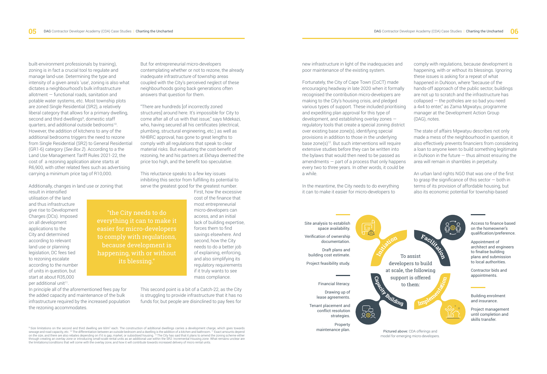DAG Contractor Developer Academy (CDA) Case Studies | Charting the Uncharted

built-environment professionals by training), zoning is in fact a crucial tool to regulate and manage land-use. Determining the type and intensity of a given area's 'use', zoning is also what dictates a neighbourhood's bulk infrastructure allotment — functional roads, sanitation and potable water systems, etc. Most township plots are zoned Single Residential (SR2), a relatively liberal category that allows for a primary dwelling, second and third dwellings<sup>9</sup>, domestic staff quarters, and additional outside bedrooms10. However, the addition of kitchens to any of the additional bedrooms triggers the need to rezone from Single Residential (SR2) to General Residential (GR1-6) category (*See Box 2*). According to a the [Land Use Management Tariff Rules 2021-22,](http://resource.capetown.gov.za/documentcentre/Documents/Financial%20documents/Ann6_2021-22_DevelopmentManagement-LandUseMgtNew.pdf) the cost of a rezoning application alone starts at R6,900, with other related fees such as advertising carrying a minimum price tag of R10,000.

Additionally, changes in land use or zoning that

result in intensified utilisation of the land and thus infrastructure give rise to [Development](http://resource.capetown.gov.za/documentcentre/Documents/Graphics%20and%20educational%20material/Development%20Charges%20Tip-in%20Brochure%2020141128%20ng%20sb.pdf)  [Charges \(DCs\).](http://resource.capetown.gov.za/documentcentre/Documents/Graphics%20and%20educational%20material/Development%20Charges%20Tip-in%20Brochure%2020141128%20ng%20sb.pdf) Imposed on all development applications to the City and determined according to relevant land use or planning legislation, DC fees tied to rezoning escalate according to the number of units in question, but start at about R35,000 per additional unit<sup>11</sup>.

In principle all of the aforementioned fees pay for the added capacity and maintenance of the bulk infrastructure required by the increased population the rezoning accommodates.

But for entrepreneurial micro-developers contemplating whether or not to rezone, the already inadequate infrastructure of township areas coupled with the City's perceived neglect of these neighbourhoods going back generations often answers that question for them.

"There are hundreds [of incorrectly zoned structures] around here. It's impossible for City to come after all of us with that issue," says Mdekazi, who, having secured all his certificates (electrical, plumbing, structural engineering, etc.) as well as NHBRC approval, has gone to great lengths to comply with all regulations that speak to clear material risks. But evaluating the cost-benefit of rezoning, he and his partners at Ekhaya deemed the price too high, and the benefit too speculative.

This reluctance speaks to a few key issues inhibiting this sector from fulfilling its potential to serve the greatest good for the greatest number. First, how the excessive

> cost of the finance that most entrepreneurial micro-developers can access, and an initial lack of building expertise, forces them to find savings elsewhere. And second, how the City needs to do a better job of explaining, enforcing, and also simplifying its regulatory requirements if it truly wants to see mass compliance.

This second point is a bit of a Catch-22, as the City is struggling to provide infrastructure that it has no funds for, but people are disinclined to pay fees for

<sup>9</sup> Size limitations on the second and third dwelling are 60m<sup>2</sup> each. The construction of additional dwellings carries a development charge, which goes towards sewage and road capacity, etc. <sup>10</sup> The differentiation between an outside bedroom and a dwelling is the addition of a kitchen and bathroom. 11 Exact amounts depend<br>on the size, and there are also rebates depending on if i through creating an overlay zone or introducing small-scale rental units as an additional use within the SR2: Incremental Housing zone. What remains unclear are the limitations/conditions that will come with the overlay zone, and how it will contribute towards increased delivery of micro rental units.

"the City needs to do everything it can to make it easier for micro-developers to comply with regulations, because development is happening, with or without its blessing."

new infrastructure in light of the inadequacies and poor maintenance of the existing system.

Fortunately, the City of Cape Town (CoCT) made encouraging headway in late 2020 when it [formally](http://www.capetown.gov.za/Media-and-news/Khayelitsha%20property%20owners%20and%20others%20can%20boost%20rental%20market)  [recognised the contribution micro-developers are](http://www.capetown.gov.za/Media-and-news/Khayelitsha%20property%20owners%20and%20others%20can%20boost%20rental%20market)  [making](http://www.capetown.gov.za/Media-and-news/Khayelitsha%20property%20owners%20and%20others%20can%20boost%20rental%20market) to the City's housing crisis, and pledged various types of support. These included prioritising and expediting plan approval for this type of development, and establishing overlay zones regulatory tools that create a special zoning district over existing base zone(s), identifying special provisions in addition to those in the underlying base zone(s)12. But such interventions will require extensive studies before they can be written into the bylaws that would then need to be passed as amendments — part of a process that only happens every two to three years. In other words, it could be a while.

In the meantime, the City needs to do everything it can to make it easier for micro-developers to

comply with regulations, because development is happening, with or without its blessings. Ignoring these issues is asking for a repeat of what happened in DuNoon, where "because of the hands-off approach of the public sector, buildings are not up to scratch and the infrastructure has collapsed — the potholes are so bad you need a 4x4 to enter," as Zama Mgwatyu, programme manager at the Development Action Group (DAG), notes.

The state of affairs Mgwatyu describes not only made a mess of the neighbourhood in question, it also effectively prevents financiers from considering a loan to anyone keen to build something legitimate in DuNoon in the future  $-$  thus almost ensuring the area will remain in shambles in perpetuity.

An urban land rights NGO that was one of the first to grasp the significance of this sector — both in terms of its provision of affordable housing, but also its economic potential for township-based

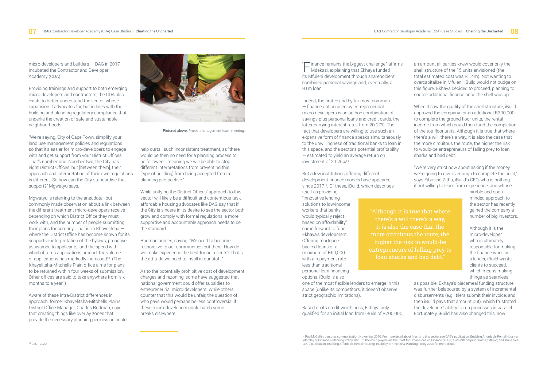micro-developers and builders — DAG in 2017 incubated the Contractor and Developer Academy (CDA).

Providing trainings and support to both emerging micro-developers and contractors, the CDA also exists to better understand the sector, whose expansion it advocates for, but in lines with the building and planning regulatory compliance that underlie the creation of safe and sustainable neighbourhoods.

"We're saying, City of Cape Town, simplify your land use management policies and regulations so that it's easier for micro-developers to engage with and get support from your District Offices. That's number one. Number two, the City has eight District Offices, but [between them], their approach and interpretation of their own regulations is different. So how can the City standardise that support?" Mgwatyu says.

Mgwatyu is referring to the anecdotal, but commonly made observation about a link between the different treatment micro-developers receive depending on which District Office they must work with, and the number of people submitting their plans for scrutiny. That is, in Khayelitsha where the District Office has become known for its supportive interpretation of the bylaws, proactive assistance to applicants, and the speed with which it turns applications around, the volume of applications has markedly increased<sup>13</sup>. (The Khayelitsha-Mitchells Plain office aims for plans to be returned within four weeks of submission. Other offices are said to take anywhere from 'six months to a year'.)

Aware of these intra-District differences in approach, former Khayelitsha-Mitchells Plains District Office Manager, Charles Rudman, says that creating things like overlay zones that provide the necessary planning permission could



Pictured above: Project management team meeting.

help curtail such inconsistent treatment, as "there would be then no need for a planning process to be followed… meaning we will be able to stop different interpretations from preventing this [type of building] from being accepted from a planning perspective."

While unifying the District Offices' approach to this sector will likely be a difficult and contentious task, affordable housing advocates like DAG say that if the City is sincere in its desire to see the sector both grow and comply with formal regulations, a more supportive and accountable approach needs to be the standard.

Rudman agrees, saying: "We need to become responsive to our communities out there. How do we make experience the best for our clients? That's the attitude we need to instill in our staff."

As to the potentially prohibitive cost of development charges and rezoning, some have suggested that national government could offer subsidies to entrepreneurial micro-developers. While others counter that this would be unfair, the question of who pays would perhaps be less controversial if these micro-developers could catch some breaks elsewhere.

 $T$  inance remains the biggest challenge," affirms "| inance remains the biggest challenge," a<br>
Mdekazi, explaining that Ekhaya funded its Mfuleni development through shareholders' combined personal savings and, eventually, a R1m loan.

Indeed, the first  $-$  and by far most common — finance option used by entrepreneurial micro-developers is an ad hoc combination of savings plus personal loans and credit cards, the latter carrying interest rates from 20-27%. The fact that developers are willing to use such an expensive form of finance speaks simultaneously to the unwillingness of traditional banks to loan in this space, and the sector's potential profitability — estimated to yield an average return on investment of 20-25%14.

But a few institutions offering different development finance models have appeared since 2017<sup>15</sup>. Of these, iBuild, which describes itself as providing

"innovative lending solutions to low-income workers that banks would typically reject based on affordability" came forward to fund Ekhaya's development. Offering mortgagebacked loans of a minimum of R60,000 with a repayment rate less than traditional personal loan financing options, iBuild is also

one of the most flexible lenders to emerge in this space (unlike its competitors, it doesn't observe strict geographic limitations).

Based on its credit-worthiness, Ekhaya only qualified for an initial loan from iBuild of R700,000, an amount all parties knew would cover only the shell structure of the 15 units envisioned (the total estimated cost was R1.4m). Not wanting to overcapitalise in Mfuleni, iBuild would not budge on this figure. Ekhaya decided to proceed, planning to source additional finance once the shell was up.

When it saw the quality of the shell structure, iBuild approved the company for an additional R300,000 to complete the ground floor units, the rental income from which could then fund the completion of the top floor units. Although it is true that where there's a will, there's a way, it is also the case that the more circuitous the route, the higher the risk to would-be entrepreneurs of falling prey to loan sharks and bad debt.

"We're very strict now about asking if the money we're going to give is enough to complete the build," says Sibusiso Zitha, iBuild's CEO, who is nothing if not willing to learn from experience, and whose

nimble and openminded approach to the sector has recently gained the company a number of big investors.

Although it is the micro-developer who is ultimately responsible for making the finance work, as a lender, iBuild wants clients to succeed, which means making things as seamless

as possible. Ekhaya's piecemeal funding structure was further belaboured by a system of incremental disbursements (e.g., tilers submit their invoice, and then iBuild pays that amount out), which frustrated the developers' ability to run processes in parallel. Fortunately, iBuild has also changed this, now

14 Rob McGaffin, personal communication, November 2020. For more detail about financing this sector, see DAG's publication: Enabling Affordable Rental Housing:<br>[Interplay of Finance & Planning Policy 2020.](https://www.dag.org.za/wp-content/uploads/2021/02/dag-financial-publication-lr.pdf) 14 The main playe

"Although it is true that where

more circuitous the route, the higher the risk to would-be entrepreneurs of falling prey to loan sharks and bad debt."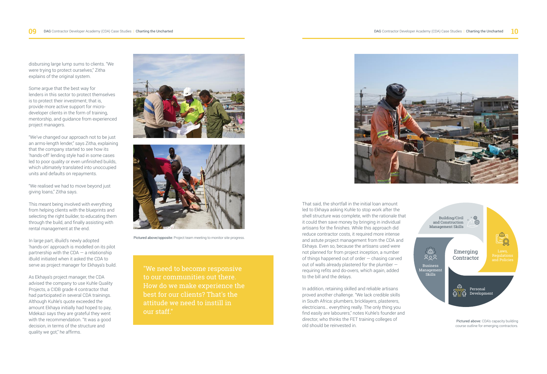disbursing large lump sums to clients. "We were trying to protect ourselves," Zitha explains of the original system.

Some argue that the best way for lenders in this sector to protect themselves is to protect their investment; that is, provide more active support for microdeveloper clients in the form of training, mentorship, and guidance from experienced project managers.

"We've changed our approach not to be just an arms-length lender," says Zitha, explaining that the company started to see how its 'hands-off' lending style had in some cases led to poor quality or even unfinished builds, which ultimately translated into unoccupied units and defaults on repayments.

"We realised we had to move beyond just giving loans," Zitha says.

This meant being involved with everything from helping clients with the blueprints and selecting the right builder, to educating them through the build, and finally assisting with rental management at the end.

In large part, iBuild's newly adopted 'hands-on' approach is modelled on its pilot partnership with the CDA  $-$  a relationship iBuild initiated when it asked the CDA to serve as project manager for Ekhaya's build.

As Ekhaya's project manager, the CDA advised the company to use Kuhle Quality Projects, a CIDB grade 4 contractor that had participated in several CDA trainings. Although Kuhle's quote exceeded the amount Ekhaya initially had hoped to pay, Mdekazi says they are grateful they went with the recommendation. "It was a good decision, in terms of the structure and quality we got," he affirms.





Pictured above/opposite: Project team meeting to monitor site progress.

"We need to become responsive to our communities out there. How do we make experience the best for our clients? That's the attitude we need to instill in our staff."



That said, the shortfall in the initial loan amount led to Ekhaya asking Kuhle to stop work after the shell structure was complete, with the rationale that it could then save money by bringing in individual artisans for the finishes. While this approach did reduce contractor costs, it required more intense and astute project management from the CDA and Ekhaya. Even so, because the artisans used were not planned for from project inception, a number of things happened out of order — chasing carved out of walls already plastered for the plumber requiring refits and do-overs, which again, added to the bill and the delays.

In addition, retaining skilled and reliable artisans proved another challenge. "We lack credible skills in South Africa: plumbers, bricklayers, plasterers, electricians… everything really. The only thing you find easily are labourers," notes Kuhle's founder and director, who thinks the FET training colleges of old should be reinvested in.



Pictured above: CDA's capacity building course outline for emerging contractors.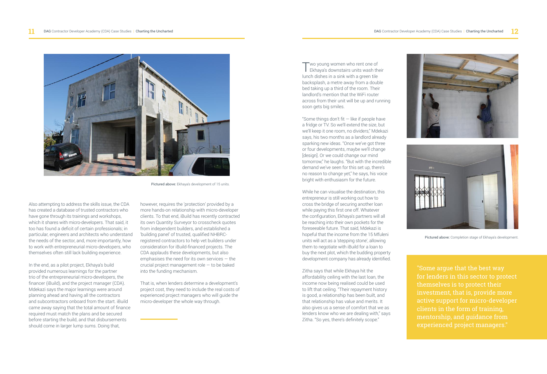

Pictured above: Ekhaya's development of 15 units.

Also attempting to address the skills issue, the CDA has created a database of trusted contractors who have gone through its trainings and workshops, which it shares with micro-developers. That said, it too has found a deficit of certain professionals; in particular, engineers and architects who understand the needs of the sector, and, more importantly, how to work with entrepreneurial micro-developers, who themselves often still lack building experience.

In the end, as a pilot project, Ekhaya's build provided numerous learnings for the partner trio of the entrepreneurial micro-developers, the financer (iBuild), and the project manager (CDA). Mdekazi says the major learnings were around planning ahead and having all the contractors and subcontractors onboard from the start. iBuild came away saying that the total amount of finance required must match the plans and be secured before starting the build, and that disbursements should come in larger lump sums. Doing that,

however, requires the 'protection' provided by a more hands-on relationship with micro-developer clients. To that end, iBuild has recently contracted its own Quantity Surveyor to crosscheck quotes from independent builders, and established a 'building panel' of trusted, qualified NHBRCregistered contractors to help vet builders under consideration for iBuild-financed projects. The CDA applauds these developments, but also emphasises the need for its own services — the crucial project management role — to be baked into the funding mechanism.

That is, when lenders determine a development's project cost, they need to include the real costs of experienced project managers who will guide the micro-developer the whole way through.

Two young women who rent one of Ekhaya's downstairs units wash their lunch dishes in a sink with a green tile backsplash, a metre away from a double bed taking up a third of the room. Their landlord's mention that the WiFi router across from their unit will be up and running soon gets big smiles.

"Some things don't fit  $-$  like if people have a fridge or TV. So we'll extend the size, but we'll keep it one room, no dividers," Mdekazi says, his two months as a landlord already sparking new ideas. "Once we've got three or four developments, maybe we'll change [design]. Or we could change our mind tomorrow," he laughs. "But with the incredible demand we've seen for this set up, there's no reason to change yet," he says, his voice bright with enthusiasm for the future.

While he can visualise the destination, this entrepreneur is still working out how to cross the bridge of securing another loan while paying this first one off. Whatever the configuration, Ekhaya's partners will all be reaching into their own pockets for the foreseeable future. That said, Mdekazi is hopeful that the income from the 15 Mfuleni units will act as a 'stepping stone', allowing them to negotiate with iBuild for a loan to buy the next plot, which the budding property development company has already identified.

Zitha says that while Ekhaya hit the affordability ceiling with the last loan, the income now being realised could be used to lift that ceiling. "Their repayment history is good, a relationship has been built, and that relationship has value and merits. It also gives us a sense of comfort that we as lenders know who we are dealing with," says Zitha. "So yes, there's definitely scope."





Pictured above: Completion stage of Ekhaya's development.

"Some argue that the best way for lenders in this sector to protect themselves is to protect their active support for micro-developer clients in the form of training, experienced project managers."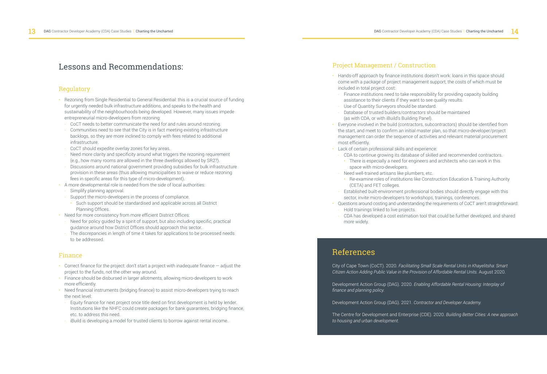# Lessons and Recommendations: Project Management / Construction

## Regulatory

- Rezoning from Single Residential to General Residential: this is a crucial source of funding for urgently needed bulk infrastructure additions, and speaks to the health and sustainability of the neighbourhoods being developed. However, many issues impede entrepreneurial micro-developers from rezoning:
- CoCT needs to better communicate the need for and rules around rezoning.
- Communities need to see that the City is in fact meeting existing infrastructure backlogs, so they are more inclined to comply with fees related to additional infrastructure.
- CoCT should expedite overlay zones for key areas.
- Need more clarity and specificity around what triggers the rezoning requirement (e.g., how many rooms are allowed in the three dwellings allowed by SR2?).
- Discussions around national government providing subsidies for bulk infrastructure provision in these areas (thus allowing municipalities to waive or reduce rezoning fees in specific areas for this type of micro-development).
- A more developmental role is needed from the side of local authorities:
- Simplify planning approval.
- Support the micro-developers in the process of compliance.
- Such support should be standardised and applicable across all District Planning Offices.
- Need for more consistency from more efficient District Offices:
- Need for policy guided by a spirit of support, but also including specific, practical guidance around how District Offices should approach this sector.
- The discrepancies in length of time it takes for applications to be processed needs to be addressed.

#### Finance

- Correct finance for the project: don't start a project with inadequate finance adjust the project to the funds, not the other way around.
- Finance should be disbursed in larger allotments, allowing micro-developers to work more efficiently.
- Need financial instruments (bridging finance) to assist micro-developers trying to reach the next level:
- Equity finance for next project once title deed on first development is held by lender. Institutions like the NHFC could create packages for bank guarantees, bridging finance, etc. to address this need.
- iBuild is developing a model for trusted clients to borrow against rental income.

- Hands-off approach by finance institutions doesn't work: loans in this space should come with a package of project management support, the costs of which must be included in total project cost:
- Finance institutions need to take responsibility for providing capacity building assistance to their clients if they want to see quality results.
- Use of Quantity Surveyors should be standard.
- Database of trusted builders/contractors should be maintained (as with CDA, or with iBuild's Building Panel).
- Everyone involved in the build (contractors, subcontractors) should be identified from the start, and meet to confirm an initial master plan, so that micro-developer/project management can order the sequence of activities and relevant material procurement most efficiently.
- Lack of certain professional skills and experience:
	- CDA to continue growing its database of skilled and recommended contractors.
	- There is especially a need for engineers and architects who can work in this space with micro-developers.
- Need well-trained artisans like plumbers, etc.
	- Re-examine roles of institutions like Construction Education & Training Authority (CETA) and FET colleges.
- Established built-environment professional bodies should directly engage with this sector, invite micro-developers to workshops, trainings, conferences.
- Questions around costing and understanding the requirements of CoCT aren't straightforward: - Hold trainings linked to live projects.
- CDA has developed a cost estimation tool that could be further developed, and shared more widely.

# References

City of Cape Town (CoCT). 2020. *Facilitating Small Scale Rental Units in Khayelitsha: Smart Citizen Action Adding Public Value in the Provision of Affordable Rental Units.* August 2020.

Development Action Group (DAG). 2020. *Enabling Affordable Rental Housing: Interplay of finance and planning policy.* 

Development Action Group (DAG). 2021. *Contractor and Developer Academy.*

The Centre for Development and Enterprise (CDE). 2020. *Building Better Cities: A new approach to housing and urban development.*